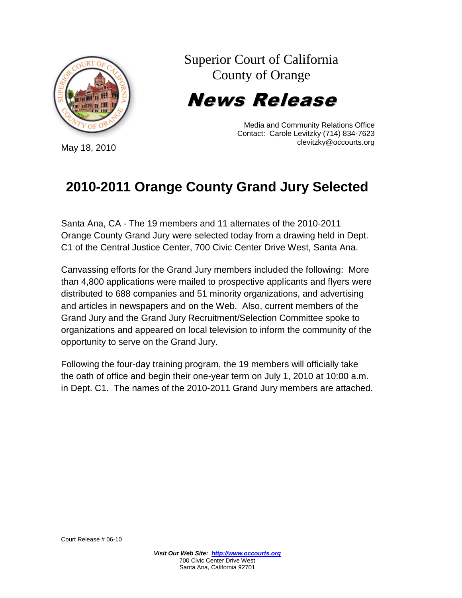

Superior Court of California County of Orange

News Release

Media and Community Relations Office Contact: Carole Levitzky (714) 834-7623 clevitzky@occourts.org

## **2010-2011 Orange County Grand Jury Selected**

Santa Ana, CA - The 19 members and 11 alternates of the 2010-2011 Orange County Grand Jury were selected today from a drawing held in Dept. C1 of the Central Justice Center, 700 Civic Center Drive West, Santa Ana.

Canvassing efforts for the Grand Jury members included the following: More than 4,800 applications were mailed to prospective applicants and flyers were distributed to 688 companies and 51 minority organizations, and advertising and articles in newspapers and on the Web. Also, current members of the Grand Jury and the Grand Jury Recruitment/Selection Committee spoke to organizations and appeared on local television to inform the community of the opportunity to serve on the Grand Jury.

Following the four-day training program, the 19 members will officially take the oath of office and begin their one-year term on July 1, 2010 at 10:00 a.m. in Dept. C1. The names of the 2010-2011 Grand Jury members are attached.

May 18, 2010